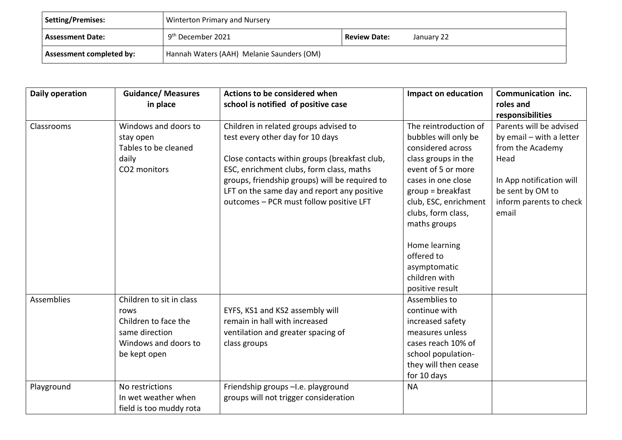| Setting/Premises:                                                            | Winterton Primary and Nursery                                      |  |  |
|------------------------------------------------------------------------------|--------------------------------------------------------------------|--|--|
| Assessment Date:                                                             | 9 <sup>th</sup> December 2021<br><b>Review Date:</b><br>January 22 |  |  |
| Hannah Waters (AAH) Melanie Saunders (OM)<br><b>Assessment completed by:</b> |                                                                    |  |  |

| Daily operation   | <b>Guidance/ Measures</b><br>in place                                                                              | Actions to be considered when<br>school is notified of positive case                                                                                                                                                                                                                                               | <b>Impact on education</b>                                                                                                                                                                                                                                                                                     | Communication inc.<br>roles and<br>responsibilities                                                                                                                 |
|-------------------|--------------------------------------------------------------------------------------------------------------------|--------------------------------------------------------------------------------------------------------------------------------------------------------------------------------------------------------------------------------------------------------------------------------------------------------------------|----------------------------------------------------------------------------------------------------------------------------------------------------------------------------------------------------------------------------------------------------------------------------------------------------------------|---------------------------------------------------------------------------------------------------------------------------------------------------------------------|
| Classrooms        | Windows and doors to<br>stay open<br>Tables to be cleaned<br>daily<br>CO2 monitors                                 | Children in related groups advised to<br>test every other day for 10 days<br>Close contacts within groups (breakfast club,<br>ESC, enrichment clubs, form class, maths<br>groups, friendship groups) will be required to<br>LFT on the same day and report any positive<br>outcomes - PCR must follow positive LFT | The reintroduction of<br>bubbles will only be<br>considered across<br>class groups in the<br>event of 5 or more<br>cases in one close<br>$group = breakfast$<br>club, ESC, enrichment<br>clubs, form class,<br>maths groups<br>Home learning<br>offered to<br>asymptomatic<br>children with<br>positive result | Parents will be advised<br>by email - with a letter<br>from the Academy<br>Head<br>In App notification will<br>be sent by OM to<br>inform parents to check<br>email |
| <b>Assemblies</b> | Children to sit in class<br>rows<br>Children to face the<br>same direction<br>Windows and doors to<br>be kept open | EYFS, KS1 and KS2 assembly will<br>remain in hall with increased<br>ventilation and greater spacing of<br>class groups                                                                                                                                                                                             | Assemblies to<br>continue with<br>increased safety<br>measures unless<br>cases reach 10% of<br>school population-<br>they will then cease<br>for 10 days                                                                                                                                                       |                                                                                                                                                                     |
| Playground        | No restrictions<br>In wet weather when<br>field is too muddy rota                                                  | Friendship groups -I.e. playground<br>groups will not trigger consideration                                                                                                                                                                                                                                        | <b>NA</b>                                                                                                                                                                                                                                                                                                      |                                                                                                                                                                     |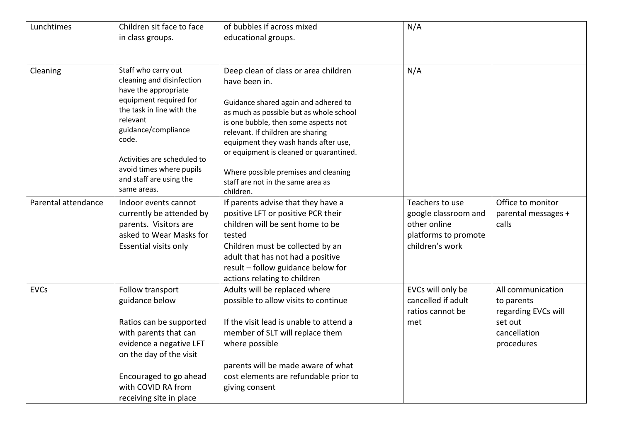| Lunchtimes          | Children sit face to face                        | of bubbles if across mixed                                                      | N/A                                  |                     |
|---------------------|--------------------------------------------------|---------------------------------------------------------------------------------|--------------------------------------|---------------------|
|                     | in class groups.                                 | educational groups.                                                             |                                      |                     |
|                     |                                                  |                                                                                 |                                      |                     |
| Cleaning            | Staff who carry out<br>cleaning and disinfection | Deep clean of class or area children                                            | N/A                                  |                     |
|                     | have the appropriate                             | have been in.                                                                   |                                      |                     |
|                     | equipment required for                           | Guidance shared again and adhered to                                            |                                      |                     |
|                     | the task in line with the                        | as much as possible but as whole school                                         |                                      |                     |
|                     | relevant                                         | is one bubble, then some aspects not                                            |                                      |                     |
|                     | guidance/compliance<br>code.                     | relevant. If children are sharing                                               |                                      |                     |
|                     |                                                  | equipment they wash hands after use,<br>or equipment is cleaned or quarantined. |                                      |                     |
|                     | Activities are scheduled to                      |                                                                                 |                                      |                     |
|                     | avoid times where pupils                         | Where possible premises and cleaning                                            |                                      |                     |
|                     | and staff are using the                          | staff are not in the same area as                                               |                                      |                     |
|                     | same areas.                                      | children.                                                                       |                                      |                     |
| Parental attendance | Indoor events cannot                             | If parents advise that they have a                                              | Teachers to use                      | Office to monitor   |
|                     | currently be attended by                         | positive LFT or positive PCR their<br>children will be sent home to be          | google classroom and<br>other online | parental messages + |
|                     | parents. Visitors are<br>asked to Wear Masks for | tested                                                                          | platforms to promote                 | calls               |
|                     | Essential visits only                            | Children must be collected by an                                                | children's work                      |                     |
|                     |                                                  | adult that has not had a positive                                               |                                      |                     |
|                     |                                                  | result - follow guidance below for                                              |                                      |                     |
|                     |                                                  | actions relating to children                                                    |                                      |                     |
| <b>EVCs</b>         | Follow transport                                 | Adults will be replaced where                                                   | EVCs will only be                    | All communication   |
|                     | guidance below                                   | possible to allow visits to continue                                            | cancelled if adult                   | to parents          |
|                     |                                                  |                                                                                 | ratios cannot be                     | regarding EVCs will |
|                     | Ratios can be supported                          | If the visit lead is unable to attend a                                         | met                                  | set out             |
|                     | with parents that can                            | member of SLT will replace them                                                 |                                      | cancellation        |
|                     | evidence a negative LFT                          | where possible                                                                  |                                      | procedures          |
|                     | on the day of the visit                          | parents will be made aware of what                                              |                                      |                     |
|                     | Encouraged to go ahead                           | cost elements are refundable prior to                                           |                                      |                     |
|                     | with COVID RA from                               | giving consent                                                                  |                                      |                     |
|                     | receiving site in place                          |                                                                                 |                                      |                     |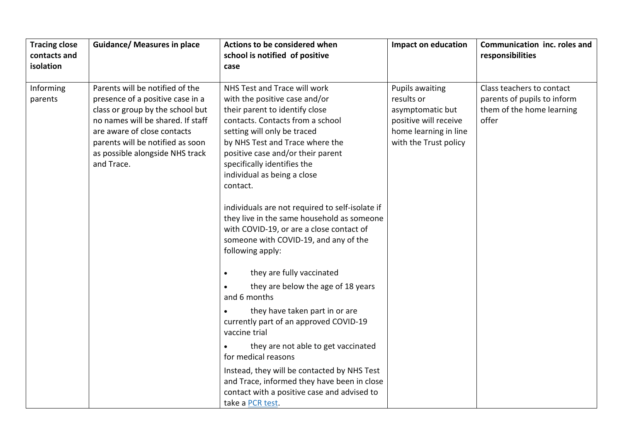|                                                                                                                                                                                                                                                                                                                                                                                                                                                                                                                                                                                                                                                                                                                                                                                                                                                                                                                                                                                                                                                                                                                                                                                                                                                                                 | <b>Tracing close</b><br>contacts and<br>isolation | <b>Guidance/ Measures in place</b> | Actions to be considered when<br>school is notified of positive<br>case | <b>Impact on education</b> | Communication inc. roles and<br>responsibilities                                      |
|---------------------------------------------------------------------------------------------------------------------------------------------------------------------------------------------------------------------------------------------------------------------------------------------------------------------------------------------------------------------------------------------------------------------------------------------------------------------------------------------------------------------------------------------------------------------------------------------------------------------------------------------------------------------------------------------------------------------------------------------------------------------------------------------------------------------------------------------------------------------------------------------------------------------------------------------------------------------------------------------------------------------------------------------------------------------------------------------------------------------------------------------------------------------------------------------------------------------------------------------------------------------------------|---------------------------------------------------|------------------------------------|-------------------------------------------------------------------------|----------------------------|---------------------------------------------------------------------------------------|
| presence of a positive case in a<br>with the positive case and/or<br>results or<br>parents<br>their parent to identify close<br>class or group by the school but<br>asymptomatic but<br>no names will be shared. If staff<br>contacts. Contacts from a school<br>offer<br>positive will receive<br>are aware of close contacts<br>setting will only be traced<br>home learning in line<br>with the Trust policy<br>parents will be notified as soon<br>by NHS Test and Trace where the<br>as possible alongside NHS track<br>positive case and/or their parent<br>specifically identifies the<br>and Trace.<br>individual as being a close<br>contact.<br>individuals are not required to self-isolate if<br>they live in the same household as someone<br>with COVID-19, or are a close contact of<br>someone with COVID-19, and any of the<br>following apply:<br>they are fully vaccinated<br>they are below the age of 18 years<br>and 6 months<br>they have taken part in or are<br>currently part of an approved COVID-19<br>vaccine trial<br>they are not able to get vaccinated<br>for medical reasons<br>Instead, they will be contacted by NHS Test<br>and Trace, informed they have been in close<br>contact with a positive case and advised to<br>take a PCR test. | Informing                                         | Parents will be notified of the    | NHS Test and Trace will work                                            | <b>Pupils awaiting</b>     | Class teachers to contact<br>parents of pupils to inform<br>them of the home learning |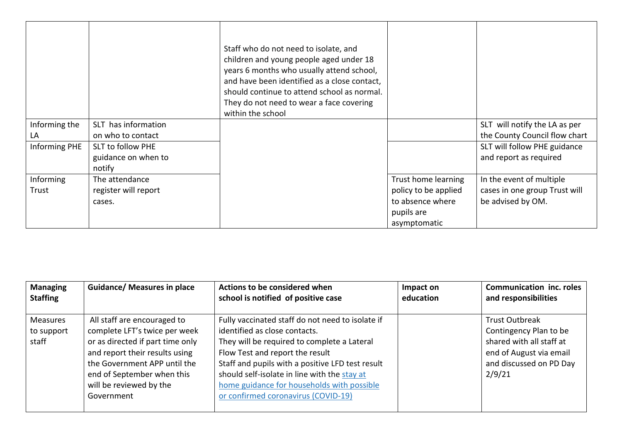|               |                          | Staff who do not need to isolate, and<br>children and young people aged under 18<br>years 6 months who usually attend school,<br>and have been identified as a close contact,<br>should continue to attend school as normal.<br>They do not need to wear a face covering<br>within the school |                      |                               |
|---------------|--------------------------|-----------------------------------------------------------------------------------------------------------------------------------------------------------------------------------------------------------------------------------------------------------------------------------------------|----------------------|-------------------------------|
| Informing the | SLT has information      |                                                                                                                                                                                                                                                                                               |                      | SLT will notify the LA as per |
| LA            | on who to contact        |                                                                                                                                                                                                                                                                                               |                      | the County Council flow chart |
| Informing PHE | <b>SLT to follow PHE</b> |                                                                                                                                                                                                                                                                                               |                      | SLT will follow PHE guidance  |
|               | guidance on when to      |                                                                                                                                                                                                                                                                                               |                      | and report as required        |
|               | notify                   |                                                                                                                                                                                                                                                                                               |                      |                               |
| Informing     | The attendance           |                                                                                                                                                                                                                                                                                               | Trust home learning  | In the event of multiple      |
| Trust         | register will report     |                                                                                                                                                                                                                                                                                               | policy to be applied | cases in one group Trust will |
|               | cases.                   |                                                                                                                                                                                                                                                                                               | to absence where     | be advised by OM.             |
|               |                          |                                                                                                                                                                                                                                                                                               | pupils are           |                               |
|               |                          |                                                                                                                                                                                                                                                                                               | asymptomatic         |                               |

| <b>Managing</b>                        | <b>Guidance/ Measures in place</b>                                                                                                                                                                                                        | Actions to be considered when                                                                                                                                                                                                                                                                                                                                | Impact on | <b>Communication inc. roles</b>                                                                                                             |
|----------------------------------------|-------------------------------------------------------------------------------------------------------------------------------------------------------------------------------------------------------------------------------------------|--------------------------------------------------------------------------------------------------------------------------------------------------------------------------------------------------------------------------------------------------------------------------------------------------------------------------------------------------------------|-----------|---------------------------------------------------------------------------------------------------------------------------------------------|
| <b>Staffing</b>                        |                                                                                                                                                                                                                                           | school is notified of positive case                                                                                                                                                                                                                                                                                                                          | education | and responsibilities                                                                                                                        |
| <b>Measures</b><br>to support<br>staff | All staff are encouraged to<br>complete LFT's twice per week<br>or as directed if part time only<br>and report their results using<br>the Government APP until the<br>end of September when this<br>will be reviewed by the<br>Government | Fully vaccinated staff do not need to isolate if<br>identified as close contacts.<br>They will be required to complete a Lateral<br>Flow Test and report the result<br>Staff and pupils with a positive LFD test result<br>should self-isolate in line with the stay at<br>home guidance for households with possible<br>or confirmed coronavirus (COVID-19) |           | <b>Trust Outbreak</b><br>Contingency Plan to be<br>shared with all staff at<br>end of August via email<br>and discussed on PD Day<br>2/9/21 |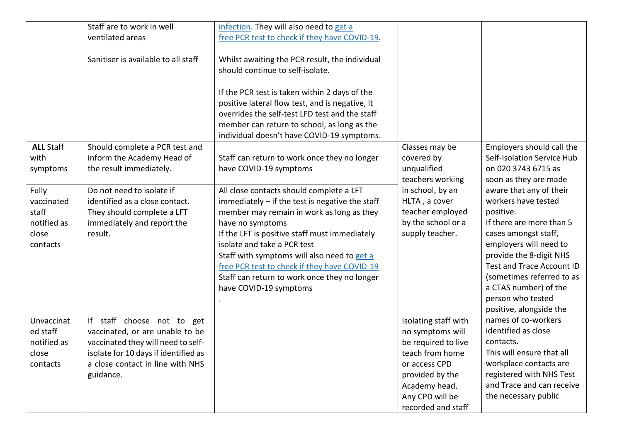|                  | Staff are to work in well                             | infection. They will also need to get a                                                                                             |                                                                 |                                                                            |
|------------------|-------------------------------------------------------|-------------------------------------------------------------------------------------------------------------------------------------|-----------------------------------------------------------------|----------------------------------------------------------------------------|
|                  | ventilated areas                                      | free PCR test to check if they have COVID-19.                                                                                       |                                                                 |                                                                            |
|                  | Sanitiser is available to all staff                   | Whilst awaiting the PCR result, the individual<br>should continue to self-isolate.<br>If the PCR test is taken within 2 days of the |                                                                 |                                                                            |
|                  |                                                       | positive lateral flow test, and is negative, it                                                                                     |                                                                 |                                                                            |
|                  |                                                       | overrides the self-test LFD test and the staff                                                                                      |                                                                 |                                                                            |
|                  |                                                       | member can return to school, as long as the                                                                                         |                                                                 |                                                                            |
| <b>ALL Staff</b> | Should complete a PCR test and                        | individual doesn't have COVID-19 symptoms.                                                                                          |                                                                 | Employers should call the                                                  |
| with<br>symptoms | inform the Academy Head of<br>the result immediately. | Staff can return to work once they no longer<br>have COVID-19 symptoms                                                              | Classes may be<br>covered by<br>unqualified<br>teachers working | Self-Isolation Service Hub<br>on 020 3743 6715 as<br>soon as they are made |
| Fully            | Do not need to isolate if                             | All close contacts should complete a LFT                                                                                            | in school, by an                                                | aware that any of their                                                    |
| vaccinated       | identified as a close contact.                        | immediately $-$ if the test is negative the staff                                                                                   | HLTA, a cover                                                   | workers have tested                                                        |
| staff            | They should complete a LFT                            | member may remain in work as long as they                                                                                           | teacher employed                                                | positive.                                                                  |
| notified as      | immediately and report the                            | have no symptoms                                                                                                                    | by the school or a                                              | If there are more than 5                                                   |
| close            | result.                                               | If the LFT is positive staff must immediately                                                                                       | supply teacher.                                                 | cases amongst staff,                                                       |
| contacts         |                                                       | isolate and take a PCR test<br>Staff with symptoms will also need to get a                                                          |                                                                 | employers will need to<br>provide the 8-digit NHS                          |
|                  |                                                       | free PCR test to check if they have COVID-19                                                                                        |                                                                 | Test and Trace Account ID                                                  |
|                  |                                                       | Staff can return to work once they no longer                                                                                        |                                                                 | (sometimes referred to as                                                  |
|                  |                                                       | have COVID-19 symptoms                                                                                                              |                                                                 | a CTAS number) of the                                                      |
|                  |                                                       |                                                                                                                                     |                                                                 | person who tested                                                          |
|                  |                                                       |                                                                                                                                     |                                                                 | positive, alongside the                                                    |
| Unvaccinat       | If staff choose not to get                            |                                                                                                                                     | Isolating staff with                                            | names of co-workers                                                        |
| ed staff         | vaccinated, or are unable to be                       |                                                                                                                                     | no symptoms will                                                | identified as close                                                        |
| notified as      | vaccinated they will need to self-                    |                                                                                                                                     | be required to live                                             | contacts.                                                                  |
| close            | isolate for 10 days if identified as                  |                                                                                                                                     | teach from home                                                 | This will ensure that all                                                  |
| contacts         | a close contact in line with NHS                      |                                                                                                                                     | or access CPD                                                   | workplace contacts are                                                     |
|                  | guidance.                                             |                                                                                                                                     | provided by the                                                 | registered with NHS Test                                                   |
|                  |                                                       |                                                                                                                                     | Academy head.                                                   | and Trace and can receive                                                  |
|                  |                                                       |                                                                                                                                     | Any CPD will be                                                 | the necessary public                                                       |
|                  |                                                       |                                                                                                                                     | recorded and staff                                              |                                                                            |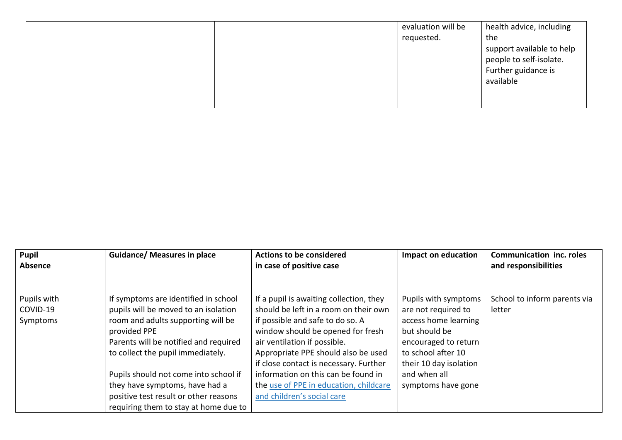|  | evaluation will be | health advice, including  |
|--|--------------------|---------------------------|
|  | requested.         | the                       |
|  |                    | support available to help |
|  |                    | people to self-isolate.   |
|  |                    | Further guidance is       |
|  |                    | available                 |
|  |                    |                           |
|  |                    |                           |

| <b>Pupil</b><br>Absence             | <b>Guidance/ Measures in place</b>                                                                                                                                                                                                                                                                                                                                            | <b>Actions to be considered</b><br>in case of positive case                                                                                                                                                                                                                                                                                                                               | Impact on education                                                                                                                                                                                | <b>Communication inc. roles</b><br>and responsibilities |
|-------------------------------------|-------------------------------------------------------------------------------------------------------------------------------------------------------------------------------------------------------------------------------------------------------------------------------------------------------------------------------------------------------------------------------|-------------------------------------------------------------------------------------------------------------------------------------------------------------------------------------------------------------------------------------------------------------------------------------------------------------------------------------------------------------------------------------------|----------------------------------------------------------------------------------------------------------------------------------------------------------------------------------------------------|---------------------------------------------------------|
| Pupils with<br>COVID-19<br>Symptoms | If symptoms are identified in school<br>pupils will be moved to an isolation<br>room and adults supporting will be<br>provided PPE<br>Parents will be notified and required<br>to collect the pupil immediately.<br>Pupils should not come into school if<br>they have symptoms, have had a<br>positive test result or other reasons<br>requiring them to stay at home due to | If a pupil is awaiting collection, they<br>should be left in a room on their own<br>if possible and safe to do so. A<br>window should be opened for fresh<br>air ventilation if possible.<br>Appropriate PPE should also be used<br>if close contact is necessary. Further<br>information on this can be found in<br>the use of PPE in education, childcare<br>and children's social care | Pupils with symptoms<br>are not required to<br>access home learning<br>but should be<br>encouraged to return<br>to school after 10<br>their 10 day isolation<br>and when all<br>symptoms have gone | School to inform parents via<br>letter                  |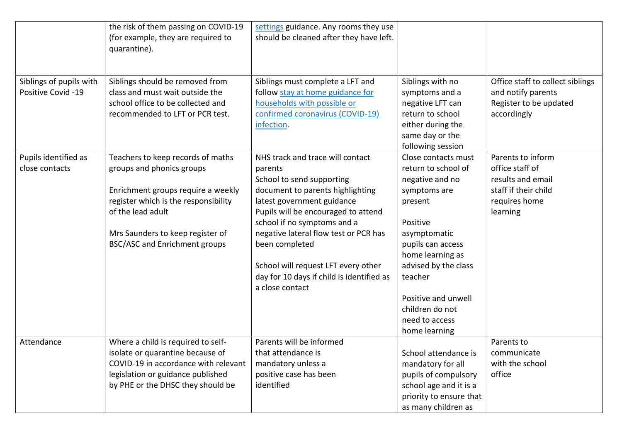|                         | the risk of them passing on COVID-19<br>(for example, they are required to<br>quarantine). | settings guidance. Any rooms they use<br>should be cleaned after they have left. |                         |                                  |
|-------------------------|--------------------------------------------------------------------------------------------|----------------------------------------------------------------------------------|-------------------------|----------------------------------|
|                         |                                                                                            |                                                                                  |                         |                                  |
| Siblings of pupils with | Siblings should be removed from                                                            | Siblings must complete a LFT and                                                 | Siblings with no        | Office staff to collect siblings |
| Positive Covid -19      | class and must wait outside the                                                            | follow stay at home guidance for                                                 | symptoms and a          | and notify parents               |
|                         | school office to be collected and                                                          | households with possible or                                                      | negative LFT can        | Register to be updated           |
|                         | recommended to LFT or PCR test.                                                            | confirmed coronavirus (COVID-19)                                                 | return to school        | accordingly                      |
|                         |                                                                                            | infection.                                                                       | either during the       |                                  |
|                         |                                                                                            |                                                                                  | same day or the         |                                  |
|                         |                                                                                            |                                                                                  | following session       |                                  |
| Pupils identified as    | Teachers to keep records of maths                                                          | NHS track and trace will contact                                                 | Close contacts must     | Parents to inform                |
| close contacts          | groups and phonics groups                                                                  | parents                                                                          | return to school of     | office staff of                  |
|                         |                                                                                            | School to send supporting                                                        | negative and no         | results and email                |
|                         | Enrichment groups require a weekly                                                         | document to parents highlighting                                                 | symptoms are            | staff if their child             |
|                         | register which is the responsibility                                                       | latest government guidance                                                       | present                 | requires home                    |
|                         | of the lead adult                                                                          | Pupils will be encouraged to attend                                              |                         | learning                         |
|                         |                                                                                            | school if no symptoms and a                                                      | Positive                |                                  |
|                         | Mrs Saunders to keep register of                                                           | negative lateral flow test or PCR has                                            | asymptomatic            |                                  |
|                         | <b>BSC/ASC and Enrichment groups</b>                                                       | been completed                                                                   | pupils can access       |                                  |
|                         |                                                                                            |                                                                                  | home learning as        |                                  |
|                         |                                                                                            | School will request LFT every other                                              | advised by the class    |                                  |
|                         |                                                                                            | day for 10 days if child is identified as<br>a close contact                     | teacher                 |                                  |
|                         |                                                                                            |                                                                                  | Positive and unwell     |                                  |
|                         |                                                                                            |                                                                                  | children do not         |                                  |
|                         |                                                                                            |                                                                                  | need to access          |                                  |
|                         |                                                                                            |                                                                                  | home learning           |                                  |
| Attendance              | Where a child is required to self-                                                         | Parents will be informed                                                         |                         | Parents to                       |
|                         | isolate or quarantine because of                                                           | that attendance is                                                               | School attendance is    | communicate                      |
|                         | COVID-19 in accordance with relevant                                                       | mandatory unless a                                                               | mandatory for all       | with the school                  |
|                         | legislation or guidance published                                                          | positive case has been                                                           | pupils of compulsory    | office                           |
|                         | by PHE or the DHSC they should be                                                          | identified                                                                       | school age and it is a  |                                  |
|                         |                                                                                            |                                                                                  | priority to ensure that |                                  |
|                         |                                                                                            |                                                                                  | as many children as     |                                  |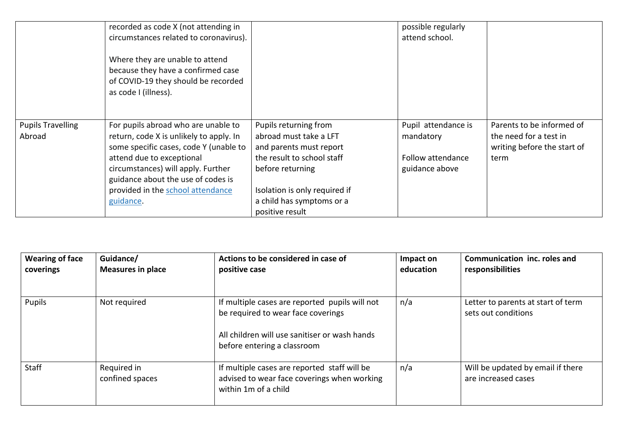|                                    | recorded as code X (not attending in<br>circumstances related to coronavirus).                                                       |                                                 | possible regularly<br>attend school. |                                                     |
|------------------------------------|--------------------------------------------------------------------------------------------------------------------------------------|-------------------------------------------------|--------------------------------------|-----------------------------------------------------|
|                                    | Where they are unable to attend<br>because they have a confirmed case<br>of COVID-19 they should be recorded<br>as code I (illness). |                                                 |                                      |                                                     |
| <b>Pupils Travelling</b><br>Abroad | For pupils abroad who are unable to<br>return, code X is unlikely to apply. In                                                       | Pupils returning from<br>abroad must take a LFT | Pupil attendance is<br>mandatory     | Parents to be informed of<br>the need for a test in |
|                                    | some specific cases, code Y (unable to                                                                                               | and parents must report                         |                                      | writing before the start of                         |
|                                    | attend due to exceptional                                                                                                            | the result to school staff                      | Follow attendance                    | term                                                |
|                                    | circumstances) will apply. Further                                                                                                   | before returning                                | guidance above                       |                                                     |
|                                    | guidance about the use of codes is                                                                                                   |                                                 |                                      |                                                     |
|                                    | provided in the school attendance                                                                                                    | Isolation is only required if                   |                                      |                                                     |
|                                    | guidance.                                                                                                                            | a child has symptoms or a                       |                                      |                                                     |
|                                    |                                                                                                                                      | positive result                                 |                                      |                                                     |

| <b>Wearing of face</b><br>coverings | Guidance/<br><b>Measures in place</b> | Actions to be considered in case of<br>positive case                                                                                                                 | Impact on<br>education | Communication inc. roles and<br>responsibilities          |
|-------------------------------------|---------------------------------------|----------------------------------------------------------------------------------------------------------------------------------------------------------------------|------------------------|-----------------------------------------------------------|
| Pupils                              | Not required                          | If multiple cases are reported pupils will not<br>be required to wear face coverings<br>All children will use sanitiser or wash hands<br>before entering a classroom | n/a                    | Letter to parents at start of term<br>sets out conditions |
| Staff                               | Required in<br>confined spaces        | If multiple cases are reported staff will be<br>advised to wear face coverings when working<br>within 1m of a child                                                  | n/a                    | Will be updated by email if there<br>are increased cases  |